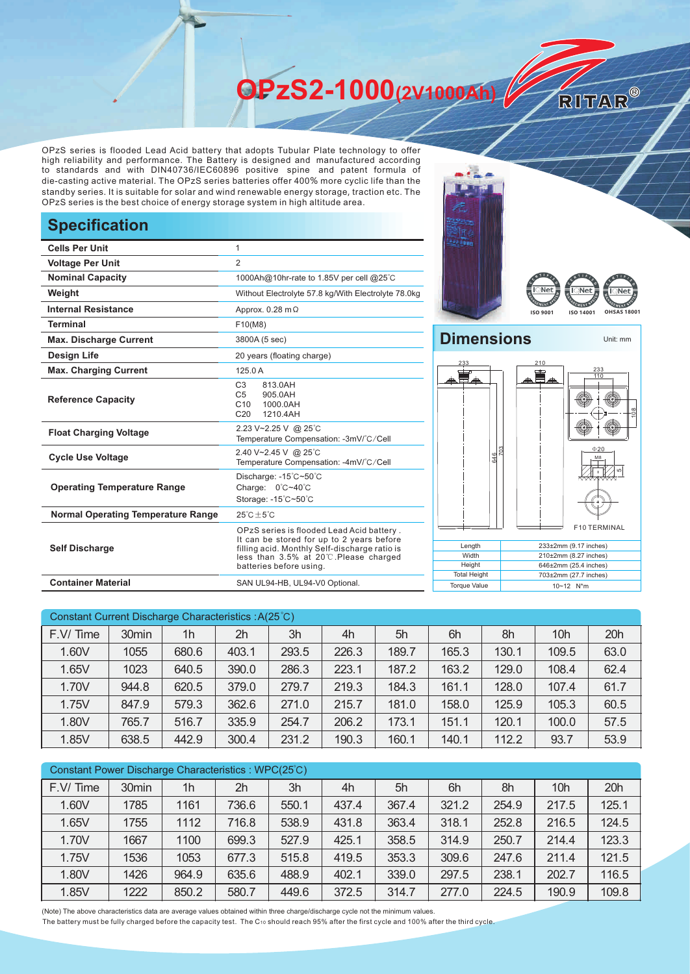**OPzS2-1000(2V1000Ah)** 

OPzS series is flooded Lead Acid battery that adopts Tubular Plate technology to offer high reliability and performance. The Battery is designed and manufactured according to standards and with DIN40736/IEC60896 positive spine and patent formula of die-casting active material. The OPzS series batteries offer 400% more cyclic life than the standby series. It is suitable for solar and wind renewable energy storage, traction etc. The OPzS series is the best choice of energy storage system in high altitude area.

## **Specification**

| <b>Cells Per Unit</b>                     | 1                                                                                                                                                                                                            |  |  |  |  |
|-------------------------------------------|--------------------------------------------------------------------------------------------------------------------------------------------------------------------------------------------------------------|--|--|--|--|
| <b>Voltage Per Unit</b>                   | 2                                                                                                                                                                                                            |  |  |  |  |
| <b>Nominal Capacity</b>                   | 1000Ah@10hr-rate to 1.85V per cell @25°C                                                                                                                                                                     |  |  |  |  |
| Weight                                    | Without Electrolyte 57.8 kg/With Electrolyte 78.0kg                                                                                                                                                          |  |  |  |  |
| Internal Resistance                       | Approx. $0.28$ m $\Omega$                                                                                                                                                                                    |  |  |  |  |
| <b>Terminal</b>                           | F10(M8)                                                                                                                                                                                                      |  |  |  |  |
| <b>Max. Discharge Current</b>             | 3800A (5 sec)                                                                                                                                                                                                |  |  |  |  |
| <b>Design Life</b>                        | 20 years (floating charge)                                                                                                                                                                                   |  |  |  |  |
| <b>Max. Charging Current</b>              | 1250A                                                                                                                                                                                                        |  |  |  |  |
| <b>Reference Capacity</b>                 | C <sub>3</sub><br>813.0AH<br>C <sub>5</sub><br>905.0AH<br>C10<br>1000.0AH<br>C <sub>20</sub><br>1210.4AH                                                                                                     |  |  |  |  |
| <b>Float Charging Voltage</b>             | 2.23 V~2.25 V @ 25°C<br>Temperature Compensation: -3mV/°C/Cell                                                                                                                                               |  |  |  |  |
| <b>Cycle Use Voltage</b>                  | 2.40 V~2.45 V @ 25°C<br>Temperature Compensation: -4mV/°C/Cell                                                                                                                                               |  |  |  |  |
| <b>Operating Temperature Range</b>        | Discharge: -15°C~50°C<br>Charge: 0°C~40°C<br>Storage: -15°C~50°C                                                                                                                                             |  |  |  |  |
| <b>Normal Operating Temperature Range</b> | $25^{\circ}$ C + 5 $^{\circ}$ C                                                                                                                                                                              |  |  |  |  |
| <b>Self Discharge</b>                     | OPzS series is flooded Lead Acid battery.<br>It can be stored for up to 2 years before<br>filling acid. Monthly Self-discharge ratio is<br>less than 3.5% at 20°C. Please charged<br>batteries before using. |  |  |  |  |
| <b>Container Material</b>                 | SAN UL94-HB, UL94-V0 Optional.                                                                                                                                                                               |  |  |  |  |





RITAR®

## **Dimensions** Unit: mm 233 210



| Constant Current Discharge Characteristics: A(25°C) |                   |       |       |       |       |       |       |       |                 |      |
|-----------------------------------------------------|-------------------|-------|-------|-------|-------|-------|-------|-------|-----------------|------|
| F.V/Time                                            | 30 <sub>min</sub> | 1h    | 2h    | 3h    | 4h    | 5h    | 6h    | 8h    | 10 <sub>h</sub> | 20h  |
| 1.60V                                               | 1055              | 680.6 | 403.1 | 293.5 | 226.3 | 189.7 | 165.3 | 130.1 | 109.5           | 63.0 |
| 1.65V                                               | 1023              | 640.5 | 390.0 | 286.3 | 223.1 | 187.2 | 163.2 | 129.0 | 108.4           | 62.4 |
| 1.70V                                               | 944.8             | 620.5 | 379.0 | 279.7 | 219.3 | 184.3 | 161.1 | 128.0 | 107.4           | 61.7 |
| 1.75V                                               | 847.9             | 579.3 | 362.6 | 271.0 | 215.7 | 181.0 | 158.0 | 125.9 | 105.3           | 60.5 |
| 1.80V                                               | 765.7             | 516.7 | 335.9 | 254.7 | 206.2 | 173.1 | 151.1 | 120.1 | 100.0           | 57.5 |
| 1.85V                                               | 638.5             | 442.9 | 300.4 | 231.2 | 190.3 | 160.1 | 140.1 | 112.2 | 93.7            | 53.9 |

| Constant Power Discharge Characteristics : WPC(25°C) |       |       |       |       |       |       |       |       |                 |       |
|------------------------------------------------------|-------|-------|-------|-------|-------|-------|-------|-------|-----------------|-------|
| F.V/Time                                             | 30min | 1h    | 2h    | 3h    | 4h    | 5h    | 6h    | 8h    | 10 <sub>h</sub> | 20h   |
| 1.60V                                                | 1785  | 1161  | 736.6 | 550.1 | 437.4 | 367.4 | 321.2 | 254.9 | 217.5           | 125.1 |
| 1.65V                                                | 1755  | 1112  | 716.8 | 538.9 | 431.8 | 363.4 | 318.1 | 252.8 | 216.5           | 124.5 |
| 1.70V                                                | 1667  | 1100  | 699.3 | 527.9 | 425.1 | 358.5 | 314.9 | 250.7 | 214.4           | 123.3 |
| 1.75V                                                | 1536  | 1053  | 677.3 | 515.8 | 419.5 | 353.3 | 309.6 | 247.6 | 211.4           | 121.5 |
| 1.80V                                                | 1426  | 964.9 | 635.6 | 488.9 | 402.1 | 339.0 | 297.5 | 238.1 | 202.7           | 116.5 |
| 1.85V                                                | 1222  | 850.2 | 580.7 | 449.6 | 372.5 | 314.7 | 277.0 | 224.5 | 190.9           | 109.8 |

(Note) The above characteristics data are average values obtained within three charge/discharge cycle not the minimum values.

The battery must be fully charged before the capacity test. The C10 should reach 95% after the first cycle and 100% after the third cycle.